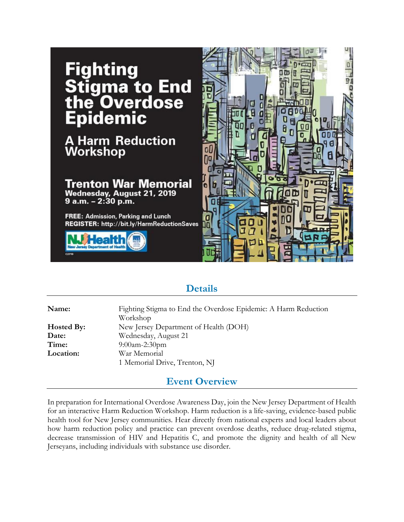

### **Details**

**Name:** Fighting Stigma to End the Overdose Epidemic: A Harm Reduction Workshop **Hosted By:** New Jersey Department of Health (DOH) **Date:** Wednesday, August 21 **Time:** 9:00am-2:30pm **Location:** War Memorial 1 Memorial Drive, Trenton, NJ

#### **Event Overview**

In preparation for International Overdose Awareness Day, join the New Jersey Department of Health for an interactive Harm Reduction Workshop. Harm reduction is a life-saving, evidence-based public health tool for New Jersey communities. Hear directly from national experts and local leaders about how harm reduction policy and practice can prevent overdose deaths, reduce drug-related stigma, decrease transmission of HIV and Hepatitis C, and promote the dignity and health of all New Jerseyans, including individuals with substance use disorder.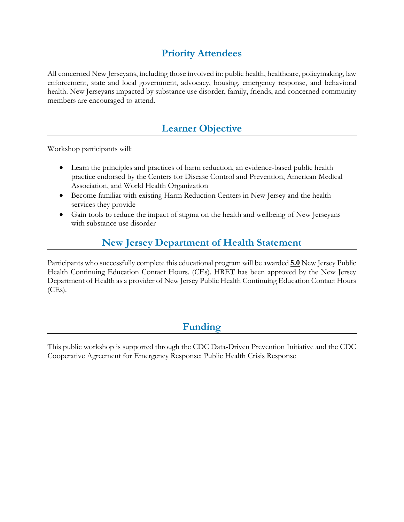# **Priority Attendees**

All concerned New Jerseyans, including those involved in: public health, healthcare, policymaking, law enforcement, state and local government, advocacy, housing, emergency response, and behavioral health. New Jerseyans impacted by substance use disorder, family, friends, and concerned community members are encouraged to attend.

## **Learner Objective**

Workshop participants will:

- Learn the principles and practices of harm reduction, an evidence-based public health practice endorsed by the Centers for Disease Control and Prevention, American Medical Association, and World Health Organization
- Become familiar with existing Harm Reduction Centers in New Jersey and the health services they provide
- Gain tools to reduce the impact of stigma on the health and wellbeing of New Jerseyans with substance use disorder

## **New Jersey Department of Health Statement**

Participants who successfully complete this educational program will be awarded **5.0** New Jersey Public Health Continuing Education Contact Hours. (CEs). HRET has been approved by the New Jersey Department of Health as a provider of New Jersey Public Health Continuing Education Contact Hours  $(CEs)$ .

### **Funding**

This public workshop is supported through the CDC Data-Driven Prevention Initiative and the CDC Cooperative Agreement for Emergency Response: Public Health Crisis Response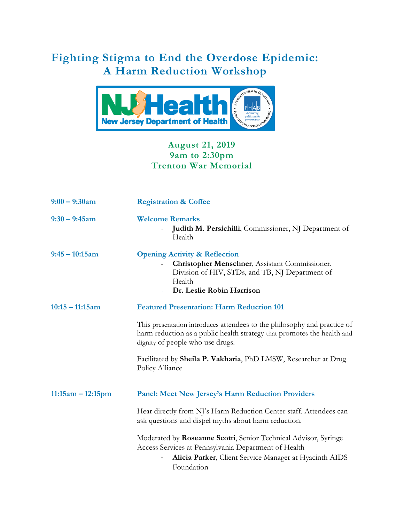# **Fighting Stigma to End the Overdose Epidemic: A Harm Reduction Workshop**



#### **August 21, 2019 9am to 2:30pm Trenton War Memorial**

| $9:00 - 9:30$ am    | <b>Registration &amp; Coffee</b>                                                                                                                                                                                 |
|---------------------|------------------------------------------------------------------------------------------------------------------------------------------------------------------------------------------------------------------|
| $9:30 - 9:45$ am    | <b>Welcome Remarks</b><br>Judith M. Persichilli, Commissioner, NJ Department of<br>Health                                                                                                                        |
| $9:45 - 10:15$ am   | <b>Opening Activity &amp; Reflection</b><br>Christopher Menschner, Assistant Commissioner,<br>$\overline{\phantom{0}}$<br>Division of HIV, STDs, and TB, NJ Department of<br>Health<br>Dr. Leslie Robin Harrison |
| $10:15 - 11:15am$   | <b>Featured Presentation: Harm Reduction 101</b>                                                                                                                                                                 |
|                     | This presentation introduces attendees to the philosophy and practice of<br>harm reduction as a public health strategy that promotes the health and<br>dignity of people who use drugs.                          |
|                     | Facilitated by Sheila P. Vakharia, PhD LMSW, Researcher at Drug<br>Policy Alliance                                                                                                                               |
| $11:15am - 12:15pm$ | <b>Panel: Meet New Jersey's Harm Reduction Providers</b>                                                                                                                                                         |
|                     | Hear directly from NJ's Harm Reduction Center staff. Attendees can<br>ask questions and dispel myths about harm reduction.                                                                                       |
|                     | Moderated by Roseanne Scotti, Senior Technical Advisor, Syringe<br>Access Services at Pennsylvania Department of Health<br>Alicia Parker, Client Service Manager at Hyacinth AIDS<br>Foundation                  |